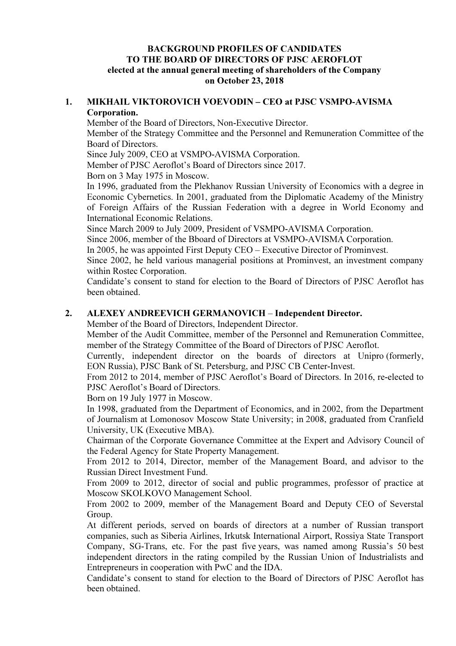#### BACKGROUND PROFILES OF CANDIDATES TO THE BOARD OF DIRECTORS OF PJSC AEROFLOT elected at the annual general meeting of shareholders of the Company on October 23, 2018

#### 1. MIKHAIL VIKTOROVICH VOEVODIN – CEO at PJSC VSMPO-AVISMA Corporation.

Member of the Board of Directors, Non-Executive Director.

Member of the Strategy Committee and the Personnel and Remuneration Committee of the Board of Directors.

Since July 2009, CEO at VSMPO-AVISMA Corporation.

Member of PJSC Aeroflot's Board of Directors since 2017.

Born on 3 May 1975 in Moscow.

In 1996, graduated from the Plekhanov Russian University of Economics with a degree in Economic Cybernetics. In 2001, graduated from the Diplomatic Academy of the Ministry of Foreign Affairs of the Russian Federation with a degree in World Economy and International Economic Relations.

Since March 2009 to July 2009, President of VSMPO-AVISMA Corporation.

Since 2006, member of the Bboard of Directors at VSMPO-AVISMA Corporation.

In 2005, he was appointed First Deputy CEO – Executive Director of Prominvest.

Since 2002, he held various managerial positions at Prominvest, an investment company within Rostec Corporation.

Candidate's consent to stand for election to the Board of Directors of PJSC Aeroflot has been obtained.

### 2. ALEXEY ANDREEVICH GERMANOVICH – Independent Director.

Member of the Board of Directors, Independent Director.

Member of the Audit Committee, member of the Personnel and Remuneration Committee, member of the Strategy Committee of the Board of Directors of PJSC Aeroflot.

Currently, independent director on the boards of directors at Unipro (formerly, EON Russia), PJSC Bank of St. Petersburg, and PJSC CB Center-Invest.

From 2012 to 2014, member of PJSC Aeroflot's Board of Directors. In 2016, re-elected to PJSC Aeroflot's Board of Directors.

Born on 19 July 1977 in Moscow.

In 1998, graduated from the Department of Economics, and in 2002, from the Department of Journalism at Lomonosov Moscow State University; in 2008, graduated from Cranfield University, UK (Executive MBA).

Chairman of the Corporate Governance Committee at the Expert and Advisory Council of the Federal Agency for State Property Management.

From 2012 to 2014, Director, member of the Management Board, and advisor to the Russian Direct Investment Fund.

From 2009 to 2012, director of social and public programmes, professor of practice at Moscow SKOLKOVO Management School.

From 2002 to 2009, member of the Management Board and Deputy CEO of Severstal Group.

At different periods, served on boards of directors at a number of Russian transport companies, such as Siberia Airlines, Irkutsk International Airport, Rossiya State Transport Company, SG-Trans, etc. For the past five years, was named among Russia's 50 best independent directors in the rating compiled by the Russian Union of Industrialists and Entrepreneurs in cooperation with PwC and the IDA.

Candidate's consent to stand for election to the Board of Directors of PJSC Aeroflot has been obtained.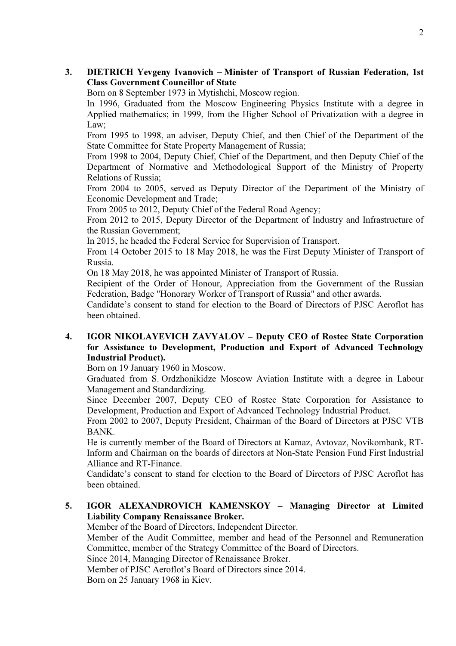### 3. DIETRICH Yevgeny Ivanovich – Minister of Transport of Russian Federation, 1st Class Government Councillor of State

Born on 8 September 1973 in Mytishchi, Moscow region.

In 1996, Graduated from the Moscow Engineering Physics Institute with a degree in Applied mathematics; in 1999, from the Higher School of Privatization with a degree in Law;

From 1995 to 1998, an adviser, Deputy Chief, and then Chief of the Department of the State Committee for State Property Management of Russia;

From 1998 to 2004, Deputy Chief, Chief of the Department, and then Deputy Chief of the Department of Normative and Methodological Support of the Ministry of Property Relations of Russia;

From 2004 to 2005, served as Deputy Director of the Department of the Ministry of Economic Development and Trade;

From 2005 to 2012, Deputy Chief of the Federal Road Agency;

From 2012 to 2015, Deputy Director of the Department of Industry and Infrastructure of the Russian Government;

In 2015, he headed the Federal Service for Supervision of Transport.

From 14 October 2015 to 18 May 2018, he was the First Deputy Minister of Transport of Russia.

On 18 May 2018, he was appointed Minister of Transport of Russia.

Recipient of the Order of Honour, Appreciation from the Government of the Russian Federation, Badge "Honorary Worker of Transport of Russia" and other awards.

Candidate's consent to stand for election to the Board of Directors of PJSC Aeroflot has been obtained.

### 4. IGOR NIKOLAYEVICH ZAVYALOV – Deputy CEO of Rostec State Corporation for Assistance to Development, Production and Export of Advanced Technology Industrial Product).

Born on 19 January 1960 in Moscow.

Graduated from S. Ordzhonikidze Moscow Aviation Institute with a degree in Labour Management and Standardizing.

Since December 2007, Deputy CEO of Rostec State Corporation for Assistance to Development, Production and Export of Advanced Technology Industrial Product.

From 2002 to 2007, Deputy President, Chairman of the Board of Directors at PJSC VTB BANK.

He is currently member of the Board of Directors at Kamaz, Avtovaz, Novikombank, RT-Inform and Chairman on the boards of directors at Non-State Pension Fund First Industrial Alliance and RT-Finance.

Candidate's consent to stand for election to the Board of Directors of PJSC Aeroflot has been obtained.

### 5. IGOR ALEXANDROVICH KAMENSKOY – Managing Director at Limited Liability Company Renaissance Broker.

Member of the Board of Directors, Independent Director.

Member of the Audit Committee, member and head of the Personnel and Remuneration Committee, member of the Strategy Committee of the Board of Directors.

Since 2014, Managing Director of Renaissance Broker.

Member of PJSC Aeroflot's Board of Directors since 2014.

Born on 25 January 1968 in Kiev.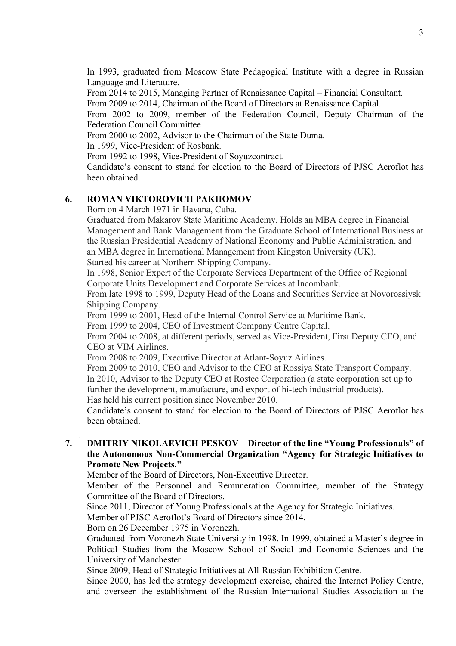In 1993, graduated from Moscow State Pedagogical Institute with a degree in Russian Language and Literature.

From 2014 to 2015, Managing Partner of Renaissance Capital – Financial Consultant.

From 2009 to 2014, Chairman of the Board of Directors at Renaissance Capital.

From 2002 to 2009, member of the Federation Council, Deputy Chairman of the Federation Council Committee.

From 2000 to 2002, Advisor to the Chairman of the State Duma.

In 1999, Vice-President of Rosbank.

From 1992 to 1998, Vice-President of Soyuzcontract.

Candidate's consent to stand for election to the Board of Directors of PJSC Aeroflot has been obtained.

# 6. ROMAN VIKTOROVICH PAKHOMOV

Born on 4 March 1971 in Havana, Cuba.

Graduated from Makarov State Maritime Academy. Holds an MBA degree in Financial Management and Bank Management from the Graduate School of International Business at the Russian Presidential Academy of National Economy and Public Administration, and an MBA degree in International Management from Kingston University (UK).

Started his career at Northern Shipping Company.

In 1998, Senior Expert of the Corporate Services Department of the Office of Regional Corporate Units Development and Corporate Services at Incombank.

From late 1998 to 1999, Deputy Head of the Loans and Securities Service at Novorossiysk Shipping Company.

From 1999 to 2001, Head of the Internal Control Service at Maritime Bank.

From 1999 to 2004, CEO of Investment Company Centre Capital.

From 2004 to 2008, at different periods, served as Vice-President, First Deputy CEO, and CEO at VIM Airlines.

From 2008 to 2009, Executive Director at Atlant-Soyuz Airlines.

From 2009 to 2010, CEO and Advisor to the CEO at Rossiya State Transport Company. In 2010, Advisor to the Deputy CEO at Rostec Corporation (a state corporation set up to further the development, manufacture, and export of hi-tech industrial products). Has held his current position since November 2010.

Candidate's consent to stand for election to the Board of Directors of PJSC Aeroflot has been obtained.

### 7. DMITRIY NIKOLAEVICH PESKOV – Director of the line "Young Professionals" of the Autonomous Non-Commercial Organization "Agency for Strategic Initiatives to Promote New Projects."

Member of the Board of Directors, Non-Executive Director.

Member of the Personnel and Remuneration Committee, member of the Strategy Committee of the Board of Directors.

Since 2011, Director of Young Professionals at the Agency for Strategic Initiatives.

Member of PJSC Aeroflot's Board of Directors since 2014.

Born on 26 December 1975 in Voronezh.

Graduated from Voronezh State University in 1998. In 1999, obtained a Master's degree in Political Studies from the Moscow School of Social and Economic Sciences and the University of Manchester.

Since 2009, Head of Strategic Initiatives at All-Russian Exhibition Centre.

Since 2000, has led the strategy development exercise, chaired the Internet Policy Centre, and overseen the establishment of the Russian International Studies Association at the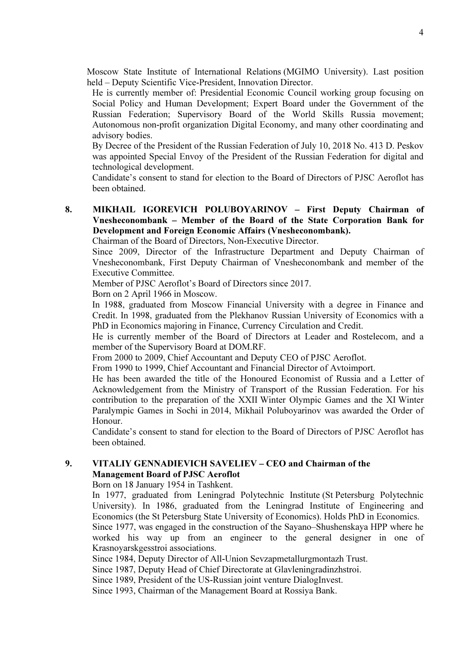Moscow State Institute of International Relations (MGIMO University). Last position held – Deputy Scientific Vice-President, Innovation Director.

He is currently member of: Presidential Economic Council working group focusing on Social Policy and Human Development; Expert Board under the Government of the Russian Federation; Supervisory Board of the World Skills Russia movement; Autonomous non-profit organization Digital Economy, and many other coordinating and advisory bodies.

By Decree of the President of the Russian Federation of July 10, 2018 No. 413 D. Peskov was appointed Special Envoy of the President of the Russian Federation for digital and technological development.

Candidate's consent to stand for election to the Board of Directors of PJSC Aeroflot has been obtained.

## 8. MIKHAIL IGOREVICH POLUBOYARINOV – First Deputy Chairman of Vnesheconombank – Member of the Board of the State Corporation Bank for Development and Foreign Economic Affairs (Vnesheconombank).

Chairman of the Board of Directors, Non-Executive Director.

Since 2009, Director of the Infrastructure Department and Deputy Chairman of Vnesheconombank, First Deputy Chairman of Vnesheconombank and member of the Executive Committee.

Member of PJSC Aeroflot's Board of Directors since 2017.

Born on 2 April 1966 in Moscow.

In 1988, graduated from Moscow Financial University with a degree in Finance and Credit. In 1998, graduated from the Plekhanov Russian University of Economics with a PhD in Economics majoring in Finance, Currency Circulation and Credit.

He is currently member of the Board of Directors at Leader and Rostelecom, and a member of the Supervisory Board at DOM.RF.

From 2000 to 2009, Chief Accountant and Deputy CEO of PJSC Aeroflot.

From 1990 to 1999, Chief Accountant and Financial Director of Avtoimport.

He has been awarded the title of the Honoured Economist of Russia and a Letter of Acknowledgement from the Ministry of Transport of the Russian Federation. For his contribution to the preparation of the XXII Winter Olympic Games and the XI Winter Paralympic Games in Sochi in 2014, Mikhail Poluboyarinov was awarded the Order of Honour.

Candidate's consent to stand for election to the Board of Directors of PJSC Aeroflot has been obtained.

## 9. VITALIY GENNADIEVICH SAVELIEV – CEO and Chairman of the Management Board of PJSC Aeroflot

Born on 18 January 1954 in Tashkent.

In 1977, graduated from Leningrad Polytechnic Institute (St Petersburg Polytechnic University). In 1986, graduated from the Leningrad Institute of Engineering and Economics (the St Petersburg State University of Economics). Holds PhD in Economics.

Since 1977, was engaged in the construction of the Sayano–Shushenskaya HPP where he worked his way up from an engineer to the general designer in one of Krasnoyarskgesstroi associations.

Since 1984, Deputy Director of All-Union Sevzapmetallurgmontazh Trust.

Since 1987, Deputy Head of Chief Directorate at Glavleningradinzhstroi.

Since 1989, President of the US-Russian joint venture DialogInvest.

Since 1993, Chairman of the Management Board at Rossiya Bank.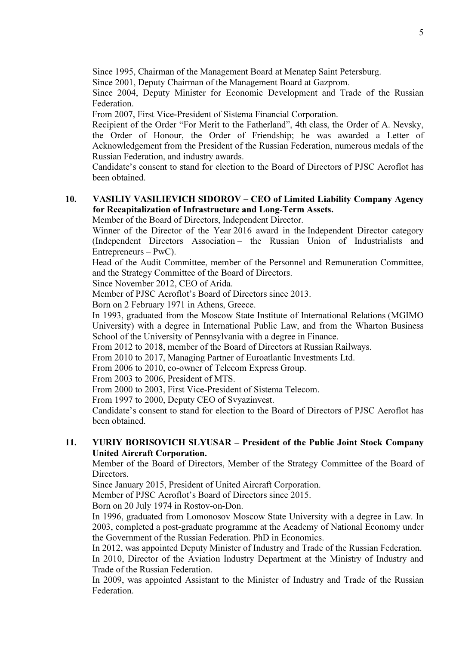Since 1995, Chairman of the Management Board at Menatep Saint Petersburg.

Since 2001, Deputy Chairman of the Management Board at Gazprom.

Since 2004, Deputy Minister for Economic Development and Trade of the Russian Federation.

From 2007, First Vice-President of Sistema Financial Corporation.

Recipient of the Order "For Merit to the Fatherland", 4th class, the Order of A. Nevsky, the Order of Honour, the Order of Friendship; he was awarded a Letter of Acknowledgement from the President of the Russian Federation, numerous medals of the Russian Federation, and industry awards.

Candidate's consent to stand for election to the Board of Directors of PJSC Aeroflot has been obtained.

# 10. VASILIY VASILIEVICH SIDOROV – CEO of Limited Liability Company Agency for Recapitalization of Infrastructure and Long-Term Assets.

Member of the Board of Directors, Independent Director.

Winner of the Director of the Year 2016 award in the Independent Director category (Independent Directors Association – the Russian Union of Industrialists and Entrepreneurs – PwC).

Head of the Audit Committee, member of the Personnel and Remuneration Committee, and the Strategy Committee of the Board of Directors.

Since November 2012, CEO of Arida.

Member of PJSC Aeroflot's Board of Directors since 2013.

Born on 2 February 1971 in Athens, Greece.

In 1993, graduated from the Moscow State Institute of International Relations (MGIMO University) with a degree in International Public Law, and from the Wharton Business School of the University of Pennsylvania with a degree in Finance.

From 2012 to 2018, member of the Board of Directors at Russian Railways.

From 2010 to 2017, Managing Partner of Euroatlantic Investments Ltd.

From 2006 to 2010, co-owner of Telecom Express Group.

From 2003 to 2006, President of MTS.

From 2000 to 2003, First Vice-President of Sistema Telecom.

From 1997 to 2000, Deputy CEO of Svyazinvest.

Candidate's consent to stand for election to the Board of Directors of PJSC Aeroflot has been obtained.

### 11. YURIY BORISOVICH SLYUSAR – President of the Public Joint Stock Company United Aircraft Corporation.

Member of the Board of Directors, Member of the Strategy Committee of the Board of Directors.

Since January 2015, President of United Aircraft Corporation.

Member of PJSC Aeroflot's Board of Directors since 2015.

Born on 20 July 1974 in Rostov-on-Don.

In 1996, graduated from Lomonosov Moscow State University with a degree in Law. In 2003, completed a post-graduate programme at the Academy of National Economy under the Government of the Russian Federation. PhD in Economics.

In 2012, was appointed Deputy Minister of Industry and Trade of the Russian Federation. In 2010, Director of the Aviation Industry Department at the Ministry of Industry and

Trade of the Russian Federation.

In 2009, was appointed Assistant to the Minister of Industry and Trade of the Russian Federation.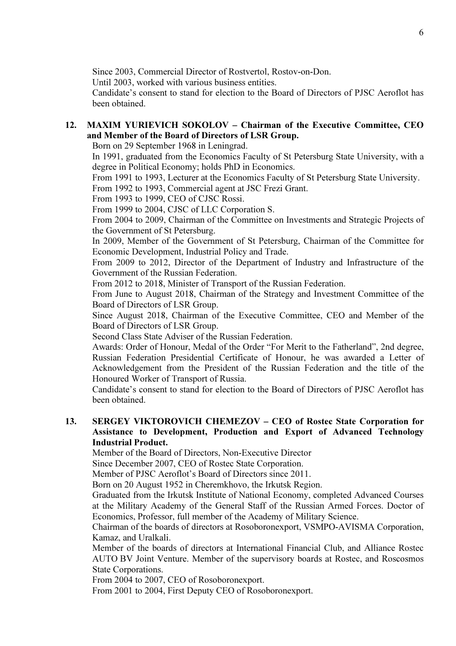Since 2003, Commercial Director of Rostvertol, Rostov-on-Don.

Until 2003, worked with various business entities.

Candidate's consent to stand for election to the Board of Directors of PJSC Aeroflot has been obtained.

## 12. MAXIM YURIEVICH SOKOLOV – Chairman of the Executive Committee, CEO and Member of the Board of Directors of LSR Group.

Born on 29 September 1968 in Leningrad.

In 1991, graduated from the Economics Faculty of St Petersburg State University, with a degree in Political Economy; holds PhD in Economics.

From 1991 to 1993, Lecturer at the Economics Faculty of St Petersburg State University. From 1992 to 1993, Commercial agent at JSC Frezi Grant.

From 1993 to 1999, CEO of CJSC Rossi.

From 1999 to 2004, CJSC of LLC Corporation S.

From 2004 to 2009, Chairman of the Committee on Investments and Strategic Projects of the Government of St Petersburg.

In 2009, Member of the Government of St Petersburg, Chairman of the Committee for Economic Development, Industrial Policy and Trade.

From 2009 to 2012, Director of the Department of Industry and Infrastructure of the Government of the Russian Federation.

From 2012 to 2018, Minister of Transport of the Russian Federation.

From June to August 2018, Chairman of the Strategy and Investment Committee of the Board of Directors of LSR Group.

Since August 2018, Chairman of the Executive Committee, CEO and Member of the Board of Directors of LSR Group.

Second Class State Adviser of the Russian Federation.

Awards: Order of Honour, Medal of the Order "For Merit to the Fatherland", 2nd degree, Russian Federation Presidential Certificate of Honour, he was awarded a Letter of Acknowledgement from the President of the Russian Federation and the title of the Honoured Worker of Transport of Russia.

Candidate's consent to stand for election to the Board of Directors of PJSC Aeroflot has been obtained.

#### 13. SERGEY VIKTOROVICH CHEMEZOV – CEO of Rostec State Corporation for Assistance to Development, Production and Export of Advanced Technology Industrial Product.

Member of the Board of Directors, Non-Executive Director

Since December 2007, CEO of Rostec State Corporation.

Member of PJSC Aeroflot's Board of Directors since 2011.

Born on 20 August 1952 in Cheremkhovo, the Irkutsk Region.

Graduated from the Irkutsk Institute of National Economy, completed Advanced Courses at the Military Academy of the General Staff of the Russian Armed Forces. Doctor of Economics, Professor, full member of the Academy of Military Science.

Chairman of the boards of directors at Rosoboronexport, VSMPO-AVISMA Corporation, Kamaz, and Uralkali.

Member of the boards of directors at International Financial Club, and Alliance Rostec AUTO BV Joint Venture. Member of the supervisory boards at Rostec, and Roscosmos State Corporations.

From 2004 to 2007, CEO of Rosoboronexport.

From 2001 to 2004, First Deputy CEO of Rosoboronexport.